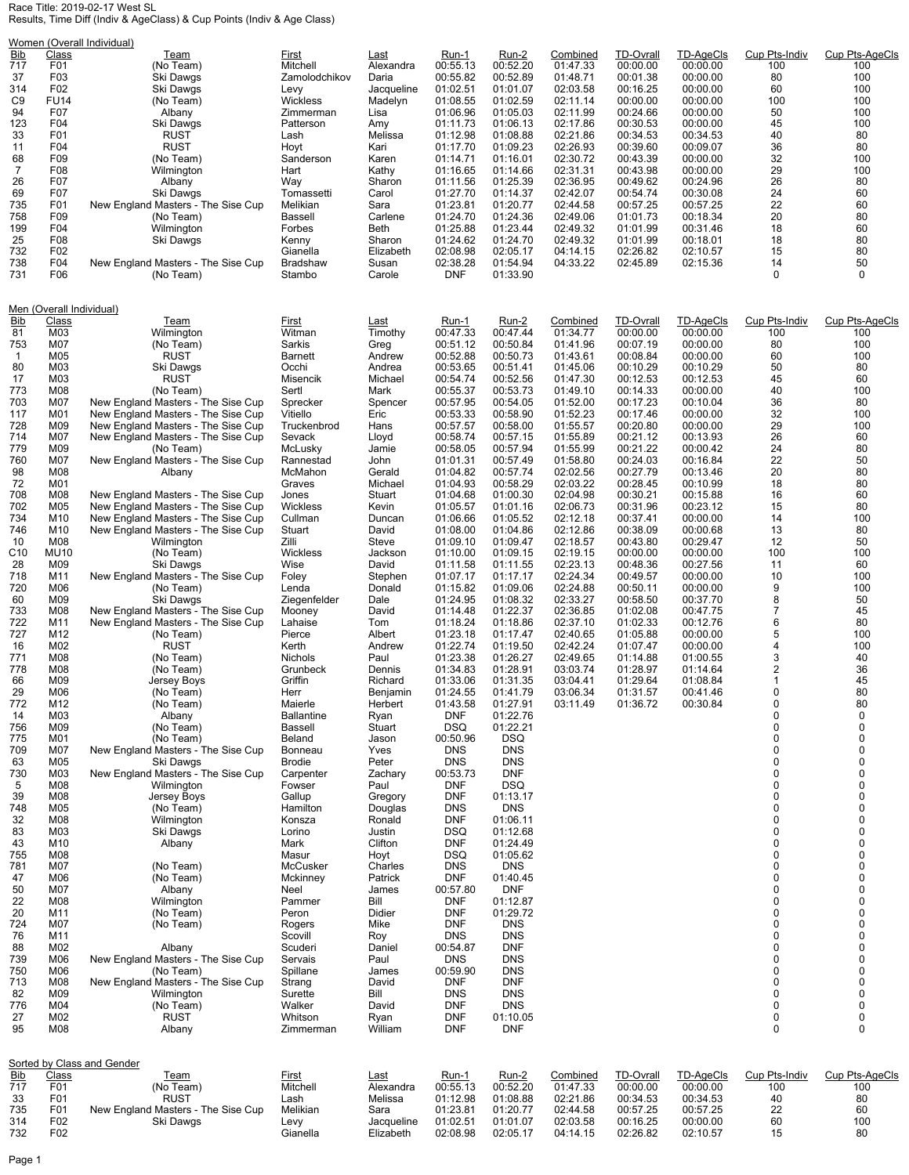## Race Title: 2019-02-17 West SL Results, Time Diff (Indiv & AgeClass) & Cup Points (Indiv & Age Class)

|  | Vomen (Overall Individual). |  |  |
|--|-----------------------------|--|--|

| Women (Overall Individual)                                                                                                                                                                                                                                                                                                                                                                                |                                                                                                                                                                                                                                                                                                                                                                                                                                                                  |                                                                                                                                                                                                                                                                                                                                                                                                                                                                                                                                                                                                                                                                                                                                                                                                                                                                                                                                                                                                                                                                                                                                                             |                                                                                                                                                                                                                                                                                                                                                                                                                                                                                                                                                                                                                                                                                     |                                                                                                                                                                                                                                                                                                                                                                                                                                                                                                                                                                                   |                                                                                                                                                                                                                                                                                                                                                                                                                                                                                                                                                                                                                                                                                                                                                                                            |                                                                                                                                                                                                                                                                                                                                                                                                                                                                                                                                                                                                                                                                                                                                                                                |                                                                                                                                                                                                                                                                                                                                                                                              |                                                                                                                                                                                                                                                                                                                                                                                              |                                                                                                                                                                                                                                                                                                                                                                                              |                                                                                                                                                                                                                                                                                                                                                  |                                                                                                                                                                                                                                                                                                                                                     |
|-----------------------------------------------------------------------------------------------------------------------------------------------------------------------------------------------------------------------------------------------------------------------------------------------------------------------------------------------------------------------------------------------------------|------------------------------------------------------------------------------------------------------------------------------------------------------------------------------------------------------------------------------------------------------------------------------------------------------------------------------------------------------------------------------------------------------------------------------------------------------------------|-------------------------------------------------------------------------------------------------------------------------------------------------------------------------------------------------------------------------------------------------------------------------------------------------------------------------------------------------------------------------------------------------------------------------------------------------------------------------------------------------------------------------------------------------------------------------------------------------------------------------------------------------------------------------------------------------------------------------------------------------------------------------------------------------------------------------------------------------------------------------------------------------------------------------------------------------------------------------------------------------------------------------------------------------------------------------------------------------------------------------------------------------------------|-------------------------------------------------------------------------------------------------------------------------------------------------------------------------------------------------------------------------------------------------------------------------------------------------------------------------------------------------------------------------------------------------------------------------------------------------------------------------------------------------------------------------------------------------------------------------------------------------------------------------------------------------------------------------------------|-----------------------------------------------------------------------------------------------------------------------------------------------------------------------------------------------------------------------------------------------------------------------------------------------------------------------------------------------------------------------------------------------------------------------------------------------------------------------------------------------------------------------------------------------------------------------------------|--------------------------------------------------------------------------------------------------------------------------------------------------------------------------------------------------------------------------------------------------------------------------------------------------------------------------------------------------------------------------------------------------------------------------------------------------------------------------------------------------------------------------------------------------------------------------------------------------------------------------------------------------------------------------------------------------------------------------------------------------------------------------------------------|--------------------------------------------------------------------------------------------------------------------------------------------------------------------------------------------------------------------------------------------------------------------------------------------------------------------------------------------------------------------------------------------------------------------------------------------------------------------------------------------------------------------------------------------------------------------------------------------------------------------------------------------------------------------------------------------------------------------------------------------------------------------------------|----------------------------------------------------------------------------------------------------------------------------------------------------------------------------------------------------------------------------------------------------------------------------------------------------------------------------------------------------------------------------------------------|----------------------------------------------------------------------------------------------------------------------------------------------------------------------------------------------------------------------------------------------------------------------------------------------------------------------------------------------------------------------------------------------|----------------------------------------------------------------------------------------------------------------------------------------------------------------------------------------------------------------------------------------------------------------------------------------------------------------------------------------------------------------------------------------------|--------------------------------------------------------------------------------------------------------------------------------------------------------------------------------------------------------------------------------------------------------------------------------------------------------------------------------------------------|-----------------------------------------------------------------------------------------------------------------------------------------------------------------------------------------------------------------------------------------------------------------------------------------------------------------------------------------------------|
| <b>Bib</b><br>717<br>37<br>314<br>C <sub>9</sub><br>94<br>123<br>33<br>11<br>68<br>7<br>26<br>69<br>735<br>758<br>199<br>25                                                                                                                                                                                                                                                                               | Class<br>F01<br>F <sub>0</sub> 3<br>F02<br><b>FU14</b><br>F07<br>F04<br>F01<br>F04<br>F <sub>09</sub><br>F <sub>08</sub><br>F07<br>F07<br>F01<br>F <sub>09</sub><br>F04<br>F08                                                                                                                                                                                                                                                                                   | Team<br>(No Team)<br>Ski Dawgs<br>Ski Dawgs<br>(No Team)<br>Albany<br>Ski Dawgs<br>RUST<br>RUST<br>(No Team)<br>Wilmington<br>Albany<br>Ski Dawgs<br>New England Masters - The Sise Cup<br>(No Team)<br>Wilmington<br>Ski Dawgs                                                                                                                                                                                                                                                                                                                                                                                                                                                                                                                                                                                                                                                                                                                                                                                                                                                                                                                             | First<br>Mitchell<br>Zamolodchikov<br>Levy<br><b>Wickless</b><br>Zimmerman<br>Patterson<br>Lash<br>Hoyt<br>Sanderson<br>Hart<br>Way<br>Tomassetti<br>Melikian<br>Bassell<br>Forbes<br>Kenny                                                                                                                                                                                                                                                                                                                                                                                                                                                                                         | Last<br>Alexandra<br>Daria<br>Jacqueline<br>Madelyn<br>Lisa<br>Amy<br>Melissa<br>Kari<br>Karen<br>Kathy<br>Sharon<br>Carol<br>Sara<br>Carlene<br>Beth<br>Sharon                                                                                                                                                                                                                                                                                                                                                                                                                   | Run-1<br>00:55.13<br>00:55.82<br>01:02.51<br>01:08.55<br>01:06.96<br>01:11.73<br>01:12.98<br>01:17.70<br>01:14.71<br>01:16.65<br>01:11.56<br>01:27.70<br>01:23.81<br>01:24.70<br>01:25.88<br>01:24.62                                                                                                                                                                                                                                                                                                                                                                                                                                                                                                                                                                                      | <u>Run-2</u><br>00:52.20<br>00:52.89<br>01:01.07<br>01:02.59<br>01:05.03<br>01:06.13<br>01:08.88<br>01:09.23<br>01:16.01<br>01:14.66<br>01:25.39<br>01:14.37<br>01:20.77<br>01:24.36<br>01:23.44<br>01:24.70                                                                                                                                                                                                                                                                                                                                                                                                                                                                                                                                                                   | Combined<br>01:47.33<br>01:48.71<br>02:03.58<br>02:11.14<br>02:11.99<br>02:17.86<br>02:21.86<br>02:26.93<br>02:30.72<br>02:31.31<br>02:36.95<br>02:42.07<br>02:44.58<br>02:49.06<br>02:49.32<br>02:49.32                                                                                                                                                                                     | <b>TD-Ovrall</b><br>00:00.00<br>00:01.38<br>00:16.25<br>00:00.00<br>00:24.66<br>00:30.53<br>00:34.53<br>00:39.60<br>00:43.39<br>00:43.98<br>00:49.62<br>00:54.74<br>00:57.25<br>01:01.73<br>01:01.99<br>01:01.99                                                                                                                                                                             | <b>TD-AgeCls</b><br>00:00.00<br>00:00.00<br>00:00.00<br>00:00.00<br>00:00.00<br>00:00.00<br>00:34.53<br>00:09.07<br>00:00.00<br>00:00.00<br>00:24.96<br>00:30.08<br>00:57.25<br>00:18.34<br>00:31.46<br>00:18.01                                                                                                                                                                             | Cup Pts-Indiv<br>100<br>80<br>60<br>100<br>50<br>45<br>40<br>36<br>32<br>29<br>26<br>24<br>22<br>20<br>18<br>18                                                                                                                                                                                                                                  | Cup Pts-AgeCls<br>100<br>100<br>100<br>100<br>100<br>100<br>80<br>80<br>100<br>100<br>80<br>60<br>60<br>80<br>60<br>80                                                                                                                                                                                                                              |
| 732<br>738<br>731                                                                                                                                                                                                                                                                                                                                                                                         | F <sub>02</sub><br>F04<br>F06                                                                                                                                                                                                                                                                                                                                                                                                                                    | New England Masters - The Sise Cup<br>(No Team)                                                                                                                                                                                                                                                                                                                                                                                                                                                                                                                                                                                                                                                                                                                                                                                                                                                                                                                                                                                                                                                                                                             | Gianella<br>Bradshaw<br>Stambo                                                                                                                                                                                                                                                                                                                                                                                                                                                                                                                                                                                                                                                      | Elizabeth<br>Susan<br>Carole                                                                                                                                                                                                                                                                                                                                                                                                                                                                                                                                                      | 02:08.98<br>02:38.28<br><b>DNF</b>                                                                                                                                                                                                                                                                                                                                                                                                                                                                                                                                                                                                                                                                                                                                                         | 02:05.17<br>01:54.94<br>01:33.90                                                                                                                                                                                                                                                                                                                                                                                                                                                                                                                                                                                                                                                                                                                                               | 04:14.15<br>04:33.22                                                                                                                                                                                                                                                                                                                                                                         | 02:26.82<br>02:45.89                                                                                                                                                                                                                                                                                                                                                                         | 02:10.57<br>02:15.36                                                                                                                                                                                                                                                                                                                                                                         | 15<br>14<br>0                                                                                                                                                                                                                                                                                                                                    | 80<br>50<br>0                                                                                                                                                                                                                                                                                                                                       |
| <b>Bib</b><br>81<br>753                                                                                                                                                                                                                                                                                                                                                                                   | Men (Overall Individual)<br>Cup Pts-Indiv<br>Cup Pts-AgeCls<br>Class<br>Combined<br><b>TD-Ovrall</b><br>TD-AgeCls<br>Team<br>First<br>Last<br>Run-1<br><u>Run-2</u><br>M03<br>00:47.44<br>Witman<br>Timothy<br>00:47.33<br>01:34.77<br>00:00.00<br>00:00.00<br>100<br>Wilmington<br>100                                                                                                                                                                          |                                                                                                                                                                                                                                                                                                                                                                                                                                                                                                                                                                                                                                                                                                                                                                                                                                                                                                                                                                                                                                                                                                                                                             |                                                                                                                                                                                                                                                                                                                                                                                                                                                                                                                                                                                                                                                                                     |                                                                                                                                                                                                                                                                                                                                                                                                                                                                                                                                                                                   |                                                                                                                                                                                                                                                                                                                                                                                                                                                                                                                                                                                                                                                                                                                                                                                            |                                                                                                                                                                                                                                                                                                                                                                                                                                                                                                                                                                                                                                                                                                                                                                                |                                                                                                                                                                                                                                                                                                                                                                                              |                                                                                                                                                                                                                                                                                                                                                                                              |                                                                                                                                                                                                                                                                                                                                                                                              |                                                                                                                                                                                                                                                                                                                                                  |                                                                                                                                                                                                                                                                                                                                                     |
| -1<br>80<br>17<br>773<br>703<br>117<br>728<br>714<br>779<br>760<br>98<br>72<br>708<br>702<br>734<br>746<br>10<br>C <sub>10</sub><br>28<br>718<br>720<br>60<br>733<br>722<br>727<br>16<br>771<br>778<br>66<br>29<br>772<br>14<br>756<br>775<br>709<br>63<br>730<br>5<br>39<br>748<br>32<br>83<br>43<br>755<br>781<br>47<br>50<br>22<br>20<br>724<br>76<br>88<br>739<br>750<br>713<br>82<br>776<br>27<br>95 | M07<br>M05<br>M03<br>M03<br>M08<br>M07<br>M01<br>M09<br>M07<br>M09<br>M07<br>M08<br>M01<br>M08<br>M05<br>M <sub>10</sub><br>M <sub>10</sub><br>M08<br><b>MU10</b><br>M09<br>M11<br>M06<br>M09<br>M08<br>M11<br>M12<br>M02<br>M08<br>M08<br>M09<br>M06<br>M12<br>M03<br>M09<br>M01<br>M07<br>M05<br>M03<br>M08<br>M08<br>M05<br>M08<br>M03<br>M10<br>M08<br>M07<br>M06<br>M07<br>M08<br>M11<br>M07<br>M11<br>M02<br>M06<br>M06<br>M08<br>M09<br>M04<br>M02<br>M08 | (No Team)<br>RUST<br>Ski Dawgs<br>RUST<br>(No Team)<br>New England Masters - The Sise Cup<br>New England Masters - The Sise Cup<br>New England Masters - The Sise Cup<br>New England Masters - The Sise Cup<br>(No Team)<br>New England Masters - The Sise Cup<br>Albany<br>New England Masters - The Sise Cup<br>New England Masters - The Sise Cup<br>New England Masters - The Sise Cup<br>New England Masters - The Sise Cup<br>Wilmington<br>(No Team)<br>Ski Dawgs<br>New England Masters - The Sise Cup<br>(No Team)<br>Ski Dawgs<br>New England Masters - The Sise Cup<br>New England Masters - The Sise Cup<br>(No Team)<br>RUST<br>(No Team)<br>(No Team)<br>Jersey Boys<br>(No Team)<br>(No Team)<br>Albany<br>(No Team)<br>(No Team)<br>New England Masters - The Sise Cup<br>Ski Dawgs<br>New England Masters - The Sise Cup<br>Wilmington<br>Jersey Boys<br>(No Team)<br>Wilmington<br>Ski Dawgs<br>Albany<br>(No Team)<br>(No Team)<br>Albany<br>Wilmington<br>(No Team)<br>(No Team)<br>Albany<br>New England Masters - The Sise Cup<br>(No Team)<br>New England Masters - The Sise Cup<br>Wilmington<br>(No Team)<br><b>RUST</b><br>Albany | Sarkis<br><b>Barnett</b><br>Occhi<br>Misencik<br>Sertl<br>Sprecker<br>Vitiello<br>Truckenbrod<br>Sevack<br>McLusky<br>Rannestad<br>McMahon<br>Graves<br>Jones<br>Wickless<br>Cullman<br>Stuart<br>Zilli<br>Wickless<br>Wise<br>Foley<br>Lenda<br>Ziegenfelder<br>Mooney<br>Lahaise<br>Pierce<br>Kerth<br>Nichols<br>Grunbeck<br>Griffin<br>Herr<br>Maierle<br><b>Ballantine</b><br>Bassell<br>Beland<br>Bonneau<br><b>Brodie</b><br>Carpenter<br>Fowser<br>Gallup<br>Hamilton<br>Konsza<br>Lorino<br>Mark<br>Masur<br>McCusker<br>Mckinney<br>Neel<br>Pammer<br>Peron<br>Rogers<br>Scovill<br>Scuderi<br>Servais<br>Spillane<br>Strang<br>Surette<br>Walker<br>Whitson<br>Zimmerman | Greg<br>Andrew<br>Andrea<br>Michael<br>Mark<br>Spencer<br>Eric<br>Hans<br>Lloyd<br>Jamie<br>John<br>Gerald<br>Michael<br>Stuart<br>Kevin<br>Duncan<br>David<br>Steve<br>Jackson<br>David<br>Stephen<br>Donald<br>Dale<br>David<br>Tom<br>Albert<br>Andrew<br>Paul<br>Dennis<br>Richard<br>Benjamin<br>Herbert<br>Ryan<br>Stuart<br>Jason<br>Yves<br>Peter<br>Zachary<br>Paul<br>Gregory<br>Douglas<br>Ronald<br>Justin<br>Clifton<br>Hoyt<br>Charles<br>Patrick<br>James<br>Bill<br>Didier<br>Mike<br>Roy<br>Daniel<br>Paul<br>James<br>David<br>Bill<br>David<br>Ryan<br>William | 00:51.12<br>00:52.88<br>00:53.65<br>00:54.74<br>00:55.37<br>00:57.95<br>00:53.33<br>00:57.57<br>00:58.74<br>00:58.05<br>01:01.31<br>01:04.82<br>01:04.93<br>01:04.68<br>01:05.57<br>01:06.66<br>01:08.00<br>01:09.10<br>01:10.00<br>01:11.58<br>01:07.17<br>01:15.82<br>01:24.95<br>01:14.48<br>01:18.24<br>01:23.18<br>01:22.74<br>01:23.38<br>01:34.83<br>01:33.06<br>01:24.55<br>01:43.58<br><b>DNF</b><br><b>DSQ</b><br>00:50.96<br><b>DNS</b><br><b>DNS</b><br>00:53.73<br><b>DNF</b><br><b>DNF</b><br><b>DNS</b><br><b>DNF</b><br><b>DSQ</b><br><b>DNF</b><br><b>DSQ</b><br><b>DNS</b><br><b>DNF</b><br>00:57.80<br><b>DNF</b><br><b>DNF</b><br><b>DNF</b><br><b>DNS</b><br>00:54.87<br><b>DNS</b><br>00:59.90<br><b>DNF</b><br><b>DNS</b><br><b>DNF</b><br><b>DNF</b><br><b>DNF</b> | 00:50.84<br>00:50.73<br>00:51.41<br>00:52.56<br>00:53.73<br>00:54.05<br>00:58.90<br>00:58.00<br>00:57.15<br>00:57.94<br>00:57.49<br>00:57.74<br>00:58.29<br>01:00.30<br>01:01.16<br>01:05.52<br>01:04.86<br>01:09.47<br>01:09.15<br>01:11.55<br>01:17.17<br>01:09.06<br>01:08.32<br>01:22.37<br>01:18.86<br>01:17.47<br>01:19.50<br>01:26.27<br>01:28.91<br>01:31.35<br>01:41.79<br>01:27.91<br>01:22.76<br>01:22.21<br><b>DSQ</b><br><b>DNS</b><br><b>DNS</b><br><b>DNF</b><br><b>DSQ</b><br>01:13.17<br><b>DNS</b><br>01:06.11<br>01:12.68<br>01:24.49<br>01:05.62<br><b>DNS</b><br>01:40.45<br><b>DNF</b><br>01:12.87<br>01:29.72<br><b>DNS</b><br><b>DNS</b><br><b>DNF</b><br><b>DNS</b><br><b>DNS</b><br><b>DNF</b><br><b>DNS</b><br><b>DNS</b><br>01:10.05<br><b>DNF</b> | 01:41.96<br>01:43.61<br>01:45.06<br>01:47.30<br>01:49.10<br>01:52.00<br>01:52.23<br>01:55.57<br>01:55.89<br>01:55.99<br>01:58.80<br>02:02.56<br>02:03.22<br>02:04.98<br>02:06.73<br>02:12.18<br>02:12.86<br>02:18.57<br>02:19.15<br>02:23.13<br>02:24.34<br>02:24.88<br>02:33.27<br>02:36.85<br>02:37.10<br>02:40.65<br>02:42.24<br>02:49.65<br>03:03.74<br>03:04.41<br>03:06.34<br>03:11.49 | 00:07.19<br>00:08.84<br>00:10.29<br>00:12.53<br>00:14.33<br>00:17.23<br>00:17.46<br>00:20.80<br>00:21.12<br>00:21.22<br>00:24.03<br>00:27.79<br>00:28.45<br>00:30.21<br>00:31.96<br>00:37.41<br>00:38.09<br>00:43.80<br>00:00.00<br>00:48.36<br>00:49.57<br>00:50.11<br>00:58.50<br>01:02.08<br>01:02.33<br>01:05.88<br>01:07.47<br>01:14.88<br>01:28.97<br>01:29.64<br>01:31.57<br>01:36.72 | 00:00.00<br>00:00.00<br>00:10.29<br>00:12.53<br>00:00.00<br>00:10.04<br>00:00.00<br>00:00.00<br>00:13.93<br>00:00.42<br>00:16.84<br>00:13.46<br>00:10.99<br>00:15.88<br>00:23.12<br>00:00.00<br>00:00.68<br>00:29.47<br>00:00.00<br>00:27.56<br>00:00.00<br>00:00.00<br>00:37.70<br>00:47.75<br>00:12.76<br>00:00.00<br>00:00.00<br>01:00.55<br>01:14.64<br>01:08.84<br>00:41.46<br>00:30.84 | 80<br>60<br>50<br>45<br>40<br>36<br>32<br>29<br>26<br>24<br>22<br>20<br>18<br>16<br>15<br>14<br>13<br>12<br>100<br>11<br>10<br>9<br>8<br>7<br>6<br>5<br>4<br>3<br>2<br>$\mathbf{1}$<br>0<br>$\Omega$<br>0<br>0<br>0<br>0<br>0<br>0<br>0<br>0<br>0<br>0<br>0<br>0<br>0<br>0<br>0<br>0<br>0<br>0<br>0<br>0<br>0<br>0<br>0<br>0<br>0<br>0<br>0<br>0 | 100<br>100<br>80<br>60<br>100<br>80<br>100<br>100<br>60<br>80<br>50<br>80<br>80<br>60<br>80<br>100<br>80<br>50<br>100<br>60<br>100<br>100<br>50<br>45<br>80<br>100<br>100<br>40<br>36<br>45<br>80<br>80<br>0<br>0<br>0<br>0<br>0<br>0<br>0<br>0<br>0<br>0<br>0<br>0<br>0<br>0<br>0<br>0<br>0<br>0<br>0<br>0<br>0<br>0<br>0<br>0<br>0<br>0<br>0<br>0 |
| Bib<br>717                                                                                                                                                                                                                                                                                                                                                                                                | Sorted by Class and Gender<br>Cup Pts-AgeCls<br><b>TD-Ovrall</b><br><b>TD-AgeCls</b><br>Cup Pts-Indiv<br>Class<br>Team<br>First<br>Last<br>Run-1<br>Run-2<br>Combined                                                                                                                                                                                                                                                                                            |                                                                                                                                                                                                                                                                                                                                                                                                                                                                                                                                                                                                                                                                                                                                                                                                                                                                                                                                                                                                                                                                                                                                                             |                                                                                                                                                                                                                                                                                                                                                                                                                                                                                                                                                                                                                                                                                     |                                                                                                                                                                                                                                                                                                                                                                                                                                                                                                                                                                                   |                                                                                                                                                                                                                                                                                                                                                                                                                                                                                                                                                                                                                                                                                                                                                                                            |                                                                                                                                                                                                                                                                                                                                                                                                                                                                                                                                                                                                                                                                                                                                                                                |                                                                                                                                                                                                                                                                                                                                                                                              |                                                                                                                                                                                                                                                                                                                                                                                              |                                                                                                                                                                                                                                                                                                                                                                                              |                                                                                                                                                                                                                                                                                                                                                  |                                                                                                                                                                                                                                                                                                                                                     |
| 33<br>735<br>314<br>732                                                                                                                                                                                                                                                                                                                                                                                   | F <sub>0</sub> 1<br>F01<br>F01<br>F02<br>F02                                                                                                                                                                                                                                                                                                                                                                                                                     | (No Team)<br><b>RUST</b><br>New England Masters - The Sise Cup<br>Ski Dawgs                                                                                                                                                                                                                                                                                                                                                                                                                                                                                                                                                                                                                                                                                                                                                                                                                                                                                                                                                                                                                                                                                 | Mitchell<br>Lash<br>Melikian<br>Levy<br>Gianella                                                                                                                                                                                                                                                                                                                                                                                                                                                                                                                                                                                                                                    | Alexandra<br>Melissa<br>Sara<br>Jacqueline<br>Elizabeth                                                                                                                                                                                                                                                                                                                                                                                                                                                                                                                           | 00:55.13<br>01:12.98<br>01:23.81<br>01:02.51<br>02:08.98                                                                                                                                                                                                                                                                                                                                                                                                                                                                                                                                                                                                                                                                                                                                   | 00:52.20<br>01:08.88<br>01:20.77<br>01:01.07<br>02:05.17                                                                                                                                                                                                                                                                                                                                                                                                                                                                                                                                                                                                                                                                                                                       | 01:47.33<br>02:21.86<br>02:44.58<br>02:03.58<br>04:14.15                                                                                                                                                                                                                                                                                                                                     | 00:00.00<br>00:34.53<br>00:57.25<br>00:16.25<br>02:26.82                                                                                                                                                                                                                                                                                                                                     | 00:00.00<br>00:34.53<br>00:57.25<br>00:00.00<br>02:10.57                                                                                                                                                                                                                                                                                                                                     | 100<br>40<br>22<br>60<br>15                                                                                                                                                                                                                                                                                                                      | 100<br>80<br>60<br>100<br>80                                                                                                                                                                                                                                                                                                                        |